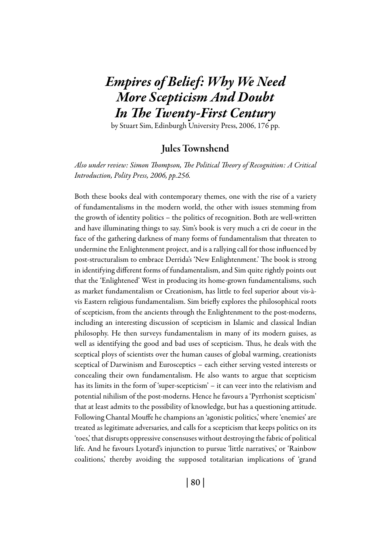# *Empires of Belief: Why We Need More Scepticism And Doubt In The Twenty-First Century*

by Stuart Sim, Edinburgh University Press, 2006, 176 pp.

## Jules Townshend

*Also under review: Simon Thompson, The Political Theory of Recognition: A Critical Introduction, Polity Press, 2006, pp.256.*

Both these books deal with contemporary themes, one with the rise of a variety of fundamentalisms in the modern world, the other with issues stemming from the growth of identity politics – the politics of recognition. Both are well-written and have illuminating things to say. Sim's book is very much a cri de coeur in the face of the gathering darkness of many forms of fundamentalism that threaten to undermine the Enlightenment project, and is a rallying call for those influenced by post-structuralism to embrace Derrida's 'New Enlightenment.' The book is strong in identifying different forms of fundamentalism, and Sim quite rightly points out that the 'Enlightened' West in producing its home-grown fundamentalisms, such as market fundamentalism or Creationism, has little to feel superior about vis-àvis Eastern religious fundamentalism. Sim briefly explores the philosophical roots of scepticism, from the ancients through the Enlightenment to the post-moderns, including an interesting discussion of scepticism in Islamic and classical Indian philosophy. He then surveys fundamentalism in many of its modern guises, as well as identifying the good and bad uses of scepticism. Thus, he deals with the sceptical ploys of scientists over the human causes of global warming, creationists sceptical of Darwinism and Eurosceptics – each either serving vested interests or concealing their own fundamentalism. He also wants to argue that scepticism has its limits in the form of 'super-scepticism' – it can veer into the relativism and potential nihilism of the post-moderns. Hence he favours a 'Pyrrhonist scepticism' that at least admits to the possibility of knowledge, but has a questioning attitude. Following Chantal Mouffe he champions an 'agonistic politics,' where 'enemies' are treated as legitimate adversaries, and calls for a scepticism that keeps politics on its 'toes,' that disrupts oppressive consensuses without destroying the fabric of political life. And he favours Lyotard's injunction to pursue 'little narratives,' or 'Rainbow coalitions,' thereby avoiding the supposed totalitarian implications of 'grand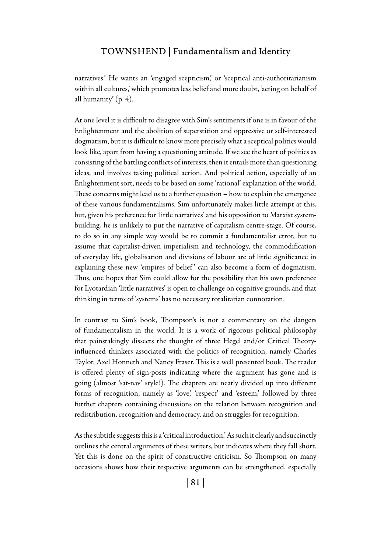#### Townshend | Fundamentalism and Identity

narratives.' He wants an 'engaged scepticism,' or 'sceptical anti-authoritarianism within all cultures,' which promotes less belief and more doubt, 'acting on behalf of all humanity' (p. 4).

At one level it is difficult to disagree with Sim's sentiments if one is in favour of the Enlightenment and the abolition of superstition and oppressive or self-interested dogmatism, but it is difficult to know more precisely what a sceptical politics would look like, apart from having a questioning attitude. If we see the heart of politics as consisting of the battling conflicts of interests, then it entails more than questioning ideas, and involves taking political action. And political action, especially of an Enlightenment sort, needs to be based on some 'rational' explanation of the world. These concerns might lead us to a further question – how to explain the emergence of these various fundamentalisms. Sim unfortunately makes little attempt at this, but, given his preference for 'little narratives' and his opposition to Marxist systembuilding, he is unlikely to put the narrative of capitalism centre-stage. Of course, to do so in any simple way would be to commit a fundamentalist error, but to assume that capitalist-driven imperialism and technology, the commodification of everyday life, globalisation and divisions of labour are of little significance in explaining these new 'empires of belief' can also become a form of dogmatism. Thus, one hopes that Sim could allow for the possibility that his own preference for Lyotardian 'little narratives' is open to challenge on cognitive grounds, and that thinking in terms of 'systems' has no necessary totalitarian connotation.

In contrast to Sim's book, Thompson's is not a commentary on the dangers of fundamentalism in the world. It is a work of rigorous political philosophy that painstakingly dissects the thought of three Hegel and/or Critical Theoryinfluenced thinkers associated with the politics of recognition, namely Charles Taylor, Axel Honneth and Nancy Fraser. This is a well presented book. The reader is offered plenty of sign-posts indicating where the argument has gone and is going (almost 'sat-nav' style!). The chapters are neatly divided up into different forms of recognition, namely as 'love,' 'respect' and 'esteem,' followed by three further chapters containing discussions on the relation between recognition and redistribution, recognition and democracy, and on struggles for recognition.

As the subtitle suggests this is a 'critical introduction.' As such it clearly and succinctly outlines the central arguments of these writers, but indicates where they fall short. Yet this is done on the spirit of constructive criticism. So Thompson on many occasions shows how their respective arguments can be strengthened, especially

| 81 |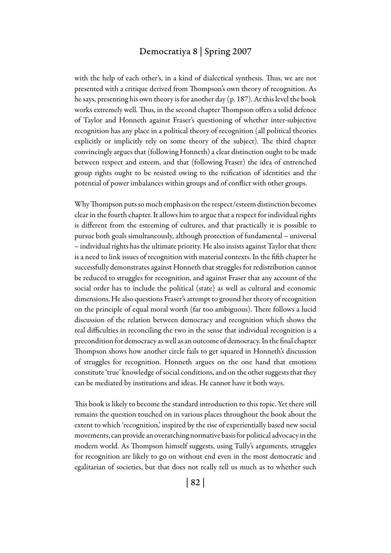## Democratiya 8 | Spring 2007

with the help of each other's, in a kind of dialectical synthesis. Thus, we are not presented with a critique derived from Thompson's own theory of recognition. As he says, presenting his own theory is for another day (p. 187). At this level the book works extremely well. Thus, in the second chapter Thompson offers a solid defence of Taylor and Honneth against Fraser's questioning of whether inter-subjective recognition has any place in a political theory of recognition (all political theories explicitly or implicitly rely on some theory of the subject). The third chapter convincingly argues that (following Honneth) a clear distinction ought to be made between respect and esteem, and that (following Fraser) the idea of entrenched group rights ought to be resisted owing to the reification of identities and the potential of power imbalances within groups and of conflict with other groups.

Why Thompson puts so much emphasis on the respect/esteem distinction becomes clear in the fourth chapter. It allows him to argue that a respect for individual rights is different from the esteeming of cultures, and that practically it is possible to pursue both goals simultaneously, although protection of fundamental – universal – individual rights has the ultimate priority. He also insists against Taylor that there is a need to link issues of recognition with material contexts. In the fifth chapter he successfully demonstrates against Honneth that struggles for redistribution cannot be reduced to struggles for recognition, and against Fraser that any account of the social order has to include the political (state) as well as cultural and economic dimensions. He also questions Fraser's attempt to ground her theory of recognition on the principle of equal moral worth (far too ambiguous). There follows a lucid discussion of the relation between democracy and recognition which shows the real difficulties in reconciling the two in the sense that individual recognition is a precondition for democracy as well as an outcome of democracy. In the final chapter Thompson shows how another circle fails to get squared in Honneth's discussion of struggles for recognition. Honneth argues on the one hand that emotions constitute 'true' knowledge of social conditions, and on the other suggests that they can be mediated by institutions and ideas. He cannot have it both ways.

This book is likely to become the standard introduction to this topic. Yet there still remains the question touched on in various places throughout the book about the extent to which 'recognition,' inspired by the rise of experientially based new social movements, can provide an overarching normative basis for political advocacy in the modern world. As Thompson himself suggests, using Tully's arguments, struggles for recognition are likely to go on without end even in the most democratic and egalitarian of societies, but that does not really tell us much as to whether such

| 82 |